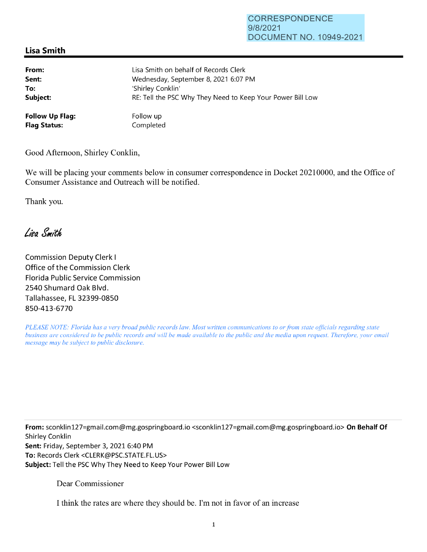## **Lisa Smith**

| From:                  | Lisa Smith on behalf of Records Clerk                      |
|------------------------|------------------------------------------------------------|
| Sent:                  | Wednesday, September 8, 2021 6:07 PM                       |
| To:                    | 'Shirley Conklin'                                          |
| Subject:               | RE: Tell the PSC Why They Need to Keep Your Power Bill Low |
| <b>Follow Up Flag:</b> | Follow up                                                  |
| <b>Flag Status:</b>    | Completed                                                  |

Good Afternoon, Shirley Conklin,

We will be placing your comments below in consumer correspondence in Docket 20210000, and the Office of Consumer Assistance and Outreach will be notified.

Thank you.

Lisa Smith

Commission Deputy Clerk I Office of the Commission Clerk Florida Public Service Commission 2540 Shumard Oak Blvd. Tallahassee, FL 32399-0850 850-413-6770

*PLEASE NOTE: Florida has a very broad public records law. Most written communications to or from state officials regarding state business are considered to be public records and will be made available to the public and the media upon request. Therefore, your email message may be subject to public disclosure.* 

**From:** sconklin127=gmai1.com@mg.gospringboard.io <sconklin127=gmai1.com@mg.gospringboard.io> **On Behalf Of**  Shirley Conklin **Sent:** Friday, September 3, 2021 6:40 PM **To:** Records Clerk <CLERK@PSC.STATE.FL.US> **Subject:** Tell the PSC Why They Need to Keep Your Power Bill Low

Dear Commissioner

I think the rates are where they should be. I'm not in favor of an increase